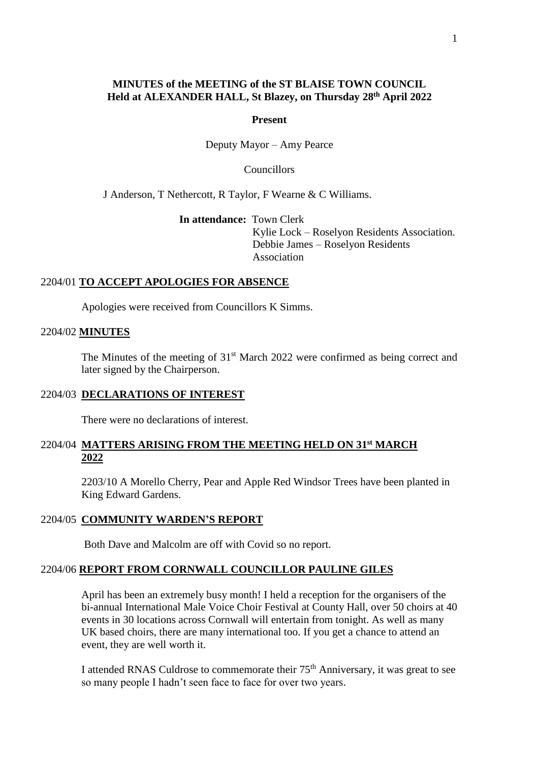# **MINUTES of the MEETING of the ST BLAISE TOWN COUNCIL Held at ALEXANDER HALL, St Blazey, on Thursday 28th April 2022**

## **Present**

Deputy Mayor – Amy Pearce

**Councillors** 

J Anderson, T Nethercott, R Taylor, F Wearne & C Williams.

**In attendance:** Town Clerk

 Kylie Lock – Roselyon Residents Association. Debbie James – Roselyon Residents Association

# 2204/01 **TO ACCEPT APOLOGIES FOR ABSENCE**

Apologies were received from Councillors K Simms.

## 2204/02 **MINUTES**

The Minutes of the meeting of 31<sup>st</sup> March 2022 were confirmed as being correct and later signed by the Chairperson.

## 2204/03 **DECLARATIONS OF INTEREST**

There were no declarations of interest.

# 2204/04 **MATTERS ARISING FROM THE MEETING HELD ON 31st MARCH 2022**

2203/10 A Morello Cherry, Pear and Apple Red Windsor Trees have been planted in King Edward Gardens.

# 2204/05 **COMMUNITY WARDEN'S REPORT**

Both Dave and Malcolm are off with Covid so no report.

# 2204/06 **REPORT FROM CORNWALL COUNCILLOR PAULINE GILES**

April has been an extremely busy month! I held a reception for the organisers of the bi-annual International Male Voice Choir Festival at County Hall, over 50 choirs at 40 events in 30 locations across Cornwall will entertain from tonight. As well as many UK based choirs, there are many international too. If you get a chance to attend an event, they are well worth it.

I attended RNAS Culdrose to commemorate their 75th Anniversary, it was great to see so many people I hadn't seen face to face for over two years.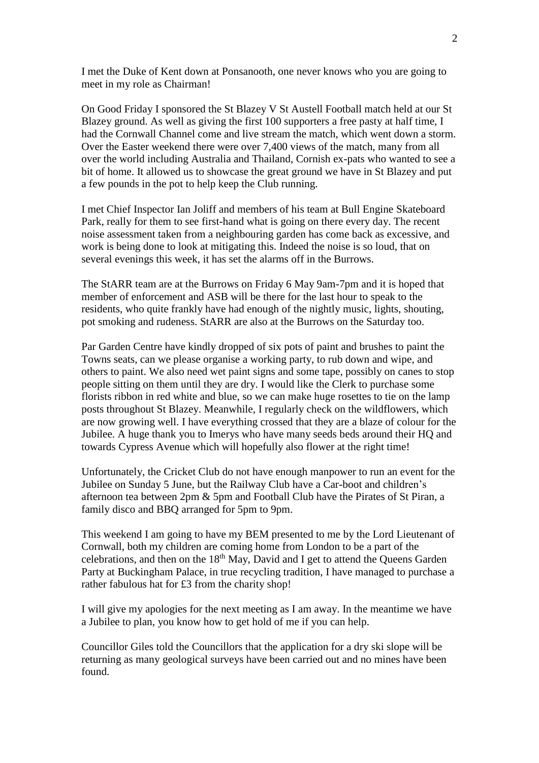I met the Duke of Kent down at Ponsanooth, one never knows who you are going to meet in my role as Chairman!

On Good Friday I sponsored the St Blazey V St Austell Football match held at our St Blazey ground. As well as giving the first 100 supporters a free pasty at half time, I had the Cornwall Channel come and live stream the match, which went down a storm. Over the Easter weekend there were over 7,400 views of the match, many from all over the world including Australia and Thailand, Cornish ex-pats who wanted to see a bit of home. It allowed us to showcase the great ground we have in St Blazey and put a few pounds in the pot to help keep the Club running.

I met Chief Inspector Ian Joliff and members of his team at Bull Engine Skateboard Park, really for them to see first-hand what is going on there every day. The recent noise assessment taken from a neighbouring garden has come back as excessive, and work is being done to look at mitigating this. Indeed the noise is so loud, that on several evenings this week, it has set the alarms off in the Burrows.

The StARR team are at the Burrows on Friday 6 May 9am-7pm and it is hoped that member of enforcement and ASB will be there for the last hour to speak to the residents, who quite frankly have had enough of the nightly music, lights, shouting, pot smoking and rudeness. StARR are also at the Burrows on the Saturday too.

Par Garden Centre have kindly dropped of six pots of paint and brushes to paint the Towns seats, can we please organise a working party, to rub down and wipe, and others to paint. We also need wet paint signs and some tape, possibly on canes to stop people sitting on them until they are dry. I would like the Clerk to purchase some florists ribbon in red white and blue, so we can make huge rosettes to tie on the lamp posts throughout St Blazey. Meanwhile, I regularly check on the wildflowers, which are now growing well. I have everything crossed that they are a blaze of colour for the Jubilee. A huge thank you to Imerys who have many seeds beds around their HQ and towards Cypress Avenue which will hopefully also flower at the right time!

Unfortunately, the Cricket Club do not have enough manpower to run an event for the Jubilee on Sunday 5 June, but the Railway Club have a Car-boot and children's afternoon tea between 2pm & 5pm and Football Club have the Pirates of St Piran, a family disco and BBQ arranged for 5pm to 9pm.

This weekend I am going to have my BEM presented to me by the Lord Lieutenant of Cornwall, both my children are coming home from London to be a part of the celebrations, and then on the  $18<sup>th</sup>$  May, David and I get to attend the Queens Garden Party at Buckingham Palace, in true recycling tradition, I have managed to purchase a rather fabulous hat for £3 from the charity shop!

I will give my apologies for the next meeting as I am away. In the meantime we have a Jubilee to plan, you know how to get hold of me if you can help.

Councillor Giles told the Councillors that the application for a dry ski slope will be returning as many geological surveys have been carried out and no mines have been found.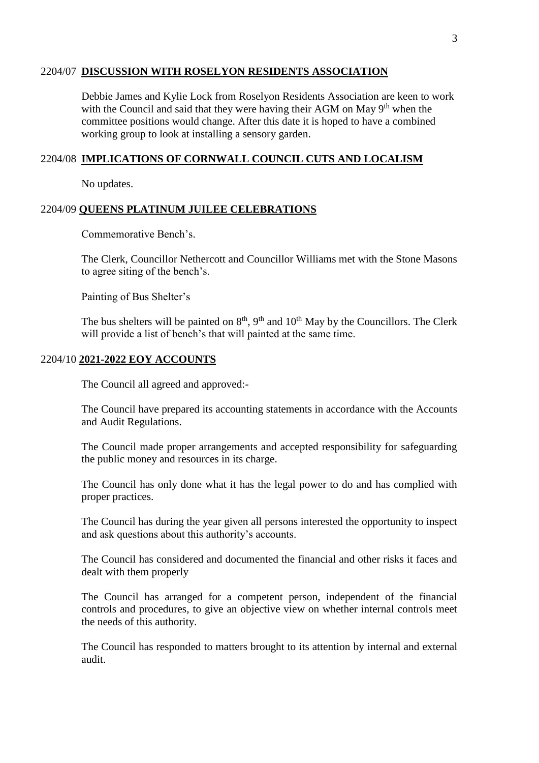# 2204/07 **DISCUSSION WITH ROSELYON RESIDENTS ASSOCIATION**

Debbie James and Kylie Lock from Roselyon Residents Association are keen to work with the Council and said that they were having their AGM on May 9<sup>th</sup> when the committee positions would change. After this date it is hoped to have a combined working group to look at installing a sensory garden.

## 2204/08 **IMPLICATIONS OF CORNWALL COUNCIL CUTS AND LOCALISM**

No updates.

## 2204/09 **QUEENS PLATINUM JUILEE CELEBRATIONS**

Commemorative Bench's.

The Clerk, Councillor Nethercott and Councillor Williams met with the Stone Masons to agree siting of the bench's.

Painting of Bus Shelter's

The bus shelters will be painted on  $8<sup>th</sup>$ ,  $9<sup>th</sup>$  and  $10<sup>th</sup>$  May by the Councillors. The Clerk will provide a list of bench's that will painted at the same time.

## 2204/10 **2021-2022 EOY ACCOUNTS**

The Council all agreed and approved:-

The Council have prepared its accounting statements in accordance with the Accounts and Audit Regulations.

The Council made proper arrangements and accepted responsibility for safeguarding the public money and resources in its charge.

The Council has only done what it has the legal power to do and has complied with proper practices.

The Council has during the year given all persons interested the opportunity to inspect and ask questions about this authority's accounts.

The Council has considered and documented the financial and other risks it faces and dealt with them properly

The Council has arranged for a competent person, independent of the financial controls and procedures, to give an objective view on whether internal controls meet the needs of this authority.

The Council has responded to matters brought to its attention by internal and external audit.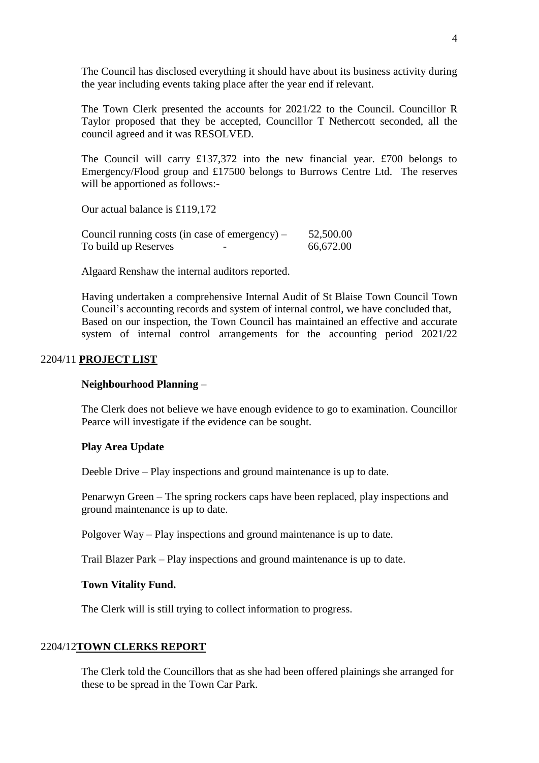The Council has disclosed everything it should have about its business activity during the year including events taking place after the year end if relevant.

The Town Clerk presented the accounts for 2021/22 to the Council. Councillor R Taylor proposed that they be accepted, Councillor T Nethercott seconded, all the council agreed and it was RESOLVED.

The Council will carry £137,372 into the new financial year. £700 belongs to Emergency/Flood group and £17500 belongs to Burrows Centre Ltd. The reserves will be apportioned as follows:-

Our actual balance is £119,172

|                      | Council running costs (in case of emergency) $-$ | 52,500.00 |
|----------------------|--------------------------------------------------|-----------|
| To build up Reserves | -                                                | 66,672.00 |

Algaard Renshaw the internal auditors reported.

Having undertaken a comprehensive Internal Audit of St Blaise Town Council Town Council's accounting records and system of internal control, we have concluded that, Based on our inspection, the Town Council has maintained an effective and accurate system of internal control arrangements for the accounting period 2021/22

## 2204/11 **PROJECT LIST**

## **Neighbourhood Planning** –

The Clerk does not believe we have enough evidence to go to examination. Councillor Pearce will investigate if the evidence can be sought.

## **Play Area Update**

Deeble Drive – Play inspections and ground maintenance is up to date.

Penarwyn Green – The spring rockers caps have been replaced, play inspections and ground maintenance is up to date.

Polgover Way – Play inspections and ground maintenance is up to date.

Trail Blazer Park – Play inspections and ground maintenance is up to date.

### **Town Vitality Fund.**

The Clerk will is still trying to collect information to progress.

## 2204/12**TOWN CLERKS REPORT**

The Clerk told the Councillors that as she had been offered plainings she arranged for these to be spread in the Town Car Park.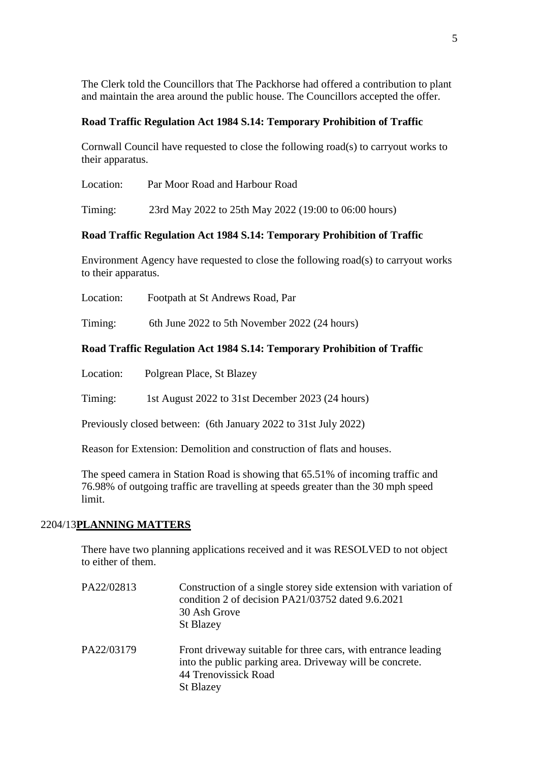The Clerk told the Councillors that The Packhorse had offered a contribution to plant and maintain the area around the public house. The Councillors accepted the offer.

# **Road Traffic Regulation Act 1984 S.14: Temporary Prohibition of Traffic**

Cornwall Council have requested to close the following road(s) to carryout works to their apparatus.

Location: Par Moor Road and Harbour Road

Timing: 23rd May 2022 to 25th May 2022 (19:00 to 06:00 hours)

# **Road Traffic Regulation Act 1984 S.14: Temporary Prohibition of Traffic**

Environment Agency have requested to close the following road(s) to carryout works to their apparatus.

Location: Footpath at St Andrews Road, Par

Timing: 6th June 2022 to 5th November 2022 (24 hours)

# **Road Traffic Regulation Act 1984 S.14: Temporary Prohibition of Traffic**

Location: Polgrean Place, St Blazey

Timing: 1st August 2022 to 31st December 2023 (24 hours)

Previously closed between: (6th January 2022 to 31st July 2022)

St Blazey

Reason for Extension: Demolition and construction of flats and houses.

The speed camera in Station Road is showing that 65.51% of incoming traffic and 76.98% of outgoing traffic are travelling at speeds greater than the 30 mph speed limit.

# 2204/13**PLANNING MATTERS**

There have two planning applications received and it was RESOLVED to not object to either of them.

PA22/02813 Construction of a single storey side extension with variation of condition 2 of decision PA21/03752 dated 9.6.2021 30 Ash Grove St Blazey PA22/03179 Front driveway suitable for three cars, with entrance leading into the public parking area. Driveway will be concrete. 44 Trenovissick Road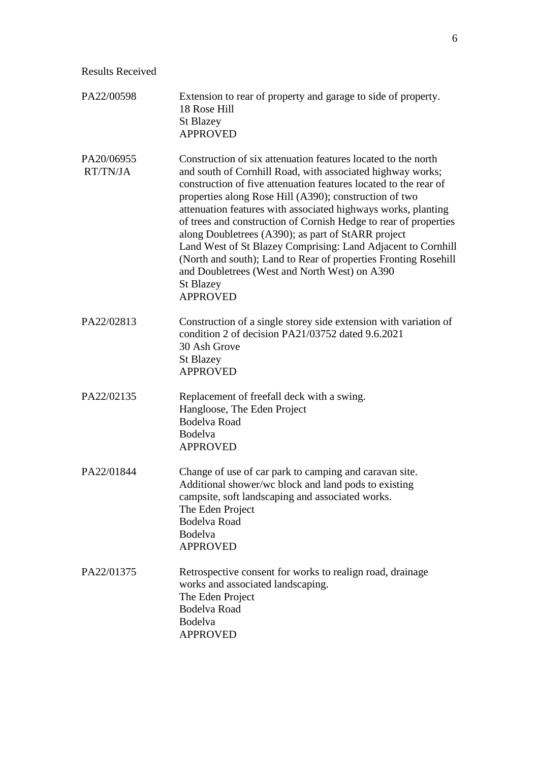Results Received

| PA22/00598             | Extension to rear of property and garage to side of property.<br>18 Rose Hill<br><b>St Blazey</b><br><b>APPROVED</b>                                                                                                                                                                                                                                                                                                                                                                                                                                                                                                                                                            |
|------------------------|---------------------------------------------------------------------------------------------------------------------------------------------------------------------------------------------------------------------------------------------------------------------------------------------------------------------------------------------------------------------------------------------------------------------------------------------------------------------------------------------------------------------------------------------------------------------------------------------------------------------------------------------------------------------------------|
| PA20/06955<br>RT/TN/JA | Construction of six attenuation features located to the north<br>and south of Cornhill Road, with associated highway works;<br>construction of five attenuation features located to the rear of<br>properties along Rose Hill (A390); construction of two<br>attenuation features with associated highways works, planting<br>of trees and construction of Cornish Hedge to rear of properties<br>along Doubletrees (A390); as part of StARR project<br>Land West of St Blazey Comprising: Land Adjacent to Cornhill<br>(North and south); Land to Rear of properties Fronting Rosehill<br>and Doubletrees (West and North West) on A390<br><b>St Blazey</b><br><b>APPROVED</b> |
| PA22/02813             | Construction of a single storey side extension with variation of<br>condition 2 of decision PA21/03752 dated 9.6.2021<br>30 Ash Grove<br><b>St Blazey</b><br><b>APPROVED</b>                                                                                                                                                                                                                                                                                                                                                                                                                                                                                                    |
| PA22/02135             | Replacement of freefall deck with a swing.<br>Hangloose, The Eden Project<br><b>Bodelva Road</b><br>Bodelva<br><b>APPROVED</b>                                                                                                                                                                                                                                                                                                                                                                                                                                                                                                                                                  |
| PA22/01844             | Change of use of car park to camping and caravan site.<br>Additional shower/we block and land pods to existing<br>campsite, soft landscaping and associated works.<br>The Eden Project<br><b>Bodelva Road</b><br><b>Bodelva</b><br><b>APPROVED</b>                                                                                                                                                                                                                                                                                                                                                                                                                              |
| PA22/01375             | Retrospective consent for works to realign road, drainage<br>works and associated landscaping.<br>The Eden Project<br><b>Bodelva Road</b><br>Bodelva<br><b>APPROVED</b>                                                                                                                                                                                                                                                                                                                                                                                                                                                                                                         |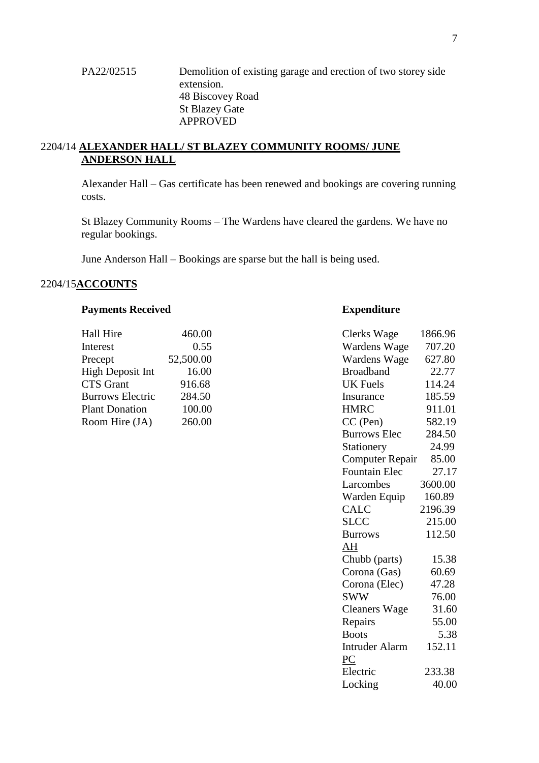# PA22/02515 Demolition of existing garage and erection of two storey side extension. 48 Biscovey Road St Blazey Gate APPROVED

# 2204/14 **ALEXANDER HALL/ ST BLAZEY COMMUNITY ROOMS/ JUNE ANDERSON HALL**

Alexander Hall – Gas certificate has been renewed and bookings are covering running costs.

St Blazey Community Rooms – The Wardens have cleared the gardens. We have no regular bookings.

June Anderson Hall – Bookings are sparse but the hall is being used.

# 2204/15**ACCOUNTS**

## **Payments Received <b>Expenditure**

| Hall Hire               | 460.00    | Clerks Wage      | 1866.96 |
|-------------------------|-----------|------------------|---------|
| Interest                | 0.55      | Wardens Wage     | 707.20  |
| Precept                 | 52,500.00 | Wardens Wage     | 627.80  |
| High Deposit Int        | 16.00     | <b>Broadband</b> | 22.77   |
| CTS Grant               | 916.68    | UK Fuels         | 114.24  |
| <b>Burrows Electric</b> | 284.50    | Insurance        | 185.59  |
| <b>Plant Donation</b>   | 100.00    | <b>HMRC</b>      | 911.01  |
| Room Hire (JA)          | 260.00    | $CC$ (Pen)       | 582.19  |

| Hall Hire               | 460.00    | Clerks Wage            | 1866.96 |
|-------------------------|-----------|------------------------|---------|
| Interest                | 0.55      | Wardens Wage           | 707.20  |
| Precept                 | 52,500.00 | Wardens Wage           | 627.80  |
| High Deposit Int        | 16.00     | <b>Broadband</b>       | 22.77   |
| <b>CTS</b> Grant        | 916.68    | <b>UK</b> Fuels        | 114.24  |
| <b>Burrows Electric</b> | 284.50    | Insurance              | 185.59  |
| <b>Plant Donation</b>   | 100.00    | <b>HMRC</b>            | 911.01  |
| Room Hire (JA)          | 260.00    | CC (Pen)               | 582.19  |
|                         |           | <b>Burrows Elec</b>    | 284.50  |
|                         |           | Stationery             | 24.99   |
|                         |           | <b>Computer Repair</b> | 85.00   |
|                         |           | <b>Fountain Elec</b>   | 27.17   |
|                         |           | Larcombes              | 3600.00 |
|                         |           | Warden Equip           | 160.89  |
|                         |           | <b>CALC</b>            | 2196.39 |
|                         |           | <b>SLCC</b>            | 215.00  |
|                         |           | <b>Burrows</b>         | 112.50  |
|                         |           | AH                     |         |
|                         |           | Chubb (parts)          | 15.38   |
|                         |           | Corona (Gas)           | 60.69   |
|                         |           | Corona (Elec)          | 47.28   |
|                         |           | <b>SWW</b>             | 76.00   |
|                         |           | <b>Cleaners Wage</b>   | 31.60   |
|                         |           | Repairs                | 55.00   |
|                         |           | <b>Boots</b>           | 5.38    |
|                         |           | <b>Intruder Alarm</b>  | 152.11  |
|                         |           | PC                     |         |
|                         |           | Electric               | 233.38  |
|                         |           | Locking                | 40.00   |